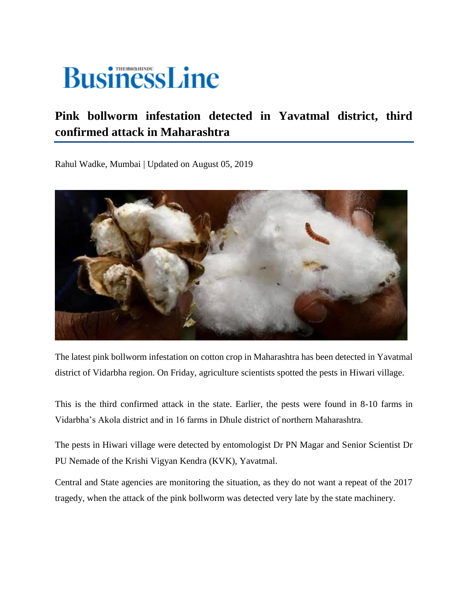## **BusinessLine**

## **Pink bollworm infestation detected in Yavatmal district, third confirmed attack in Maharashtra**

Rahul Wadke, Mumbai | Updated on August 05, 2019



The latest pink bollworm infestation on cotton crop in Maharashtra has been detected in Yavatmal district of Vidarbha region. On Friday, agriculture scientists spotted the pests in Hiwari village.

This is the third confirmed attack in the state. Earlier, the pests were found in 8-10 farms in Vidarbha's Akola district and in 16 farms in Dhule district of northern Maharashtra.

The pests in Hiwari village were detected by entomologist Dr PN Magar and Senior Scientist Dr PU Nemade of the Krishi Vigyan Kendra (KVK), Yavatmal.

Central and State agencies are monitoring the situation, as they do not want a repeat of the 2017 tragedy, when the attack of the pink bollworm was detected very late by the state machinery.